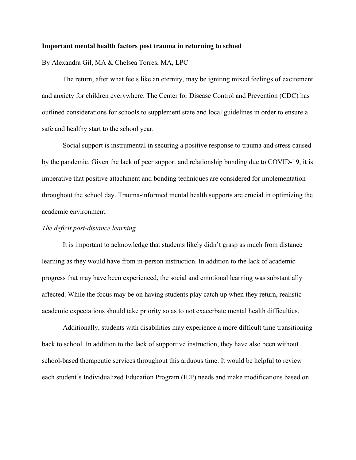## **Important mental health factors post trauma in returning to school**

By Alexandra Gil, MA & Chelsea Torres, MA, LPC

The return, after what feels like an eternity, may be igniting mixed feelings of excitement and anxiety for children everywhere. The Center for Disease Control and Prevention (CDC) has outlined considerations for schools to supplement state and local guidelines in order to ensure a safe and healthy start to the school year.

Social support is instrumental in securing a positive response to trauma and stress caused by the pandemic. Given the lack of peer support and relationship bonding due to COVID-19, it is imperative that positive attachment and bonding techniques are considered for implementation throughout the school day. Trauma-informed mental health supports are crucial in optimizing the academic environment.

## *The deficit post-distance learning*

It is important to acknowledge that students likely didn't grasp as much from distance learning as they would have from in-person instruction. In addition to the lack of academic progress that may have been experienced, the social and emotional learning was substantially affected. While the focus may be on having students play catch up when they return, realistic academic expectations should take priority so as to not exacerbate mental health difficulties.

Additionally, students with disabilities may experience a more difficult time transitioning back to school. In addition to the lack of supportive instruction, they have also been without school-based therapeutic services throughout this arduous time. It would be helpful to review each student's Individualized Education Program (IEP) needs and make modifications based on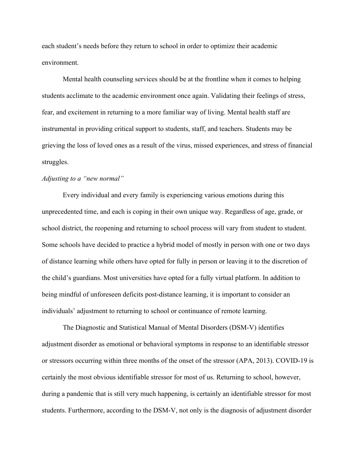each student's needs before they return to school in order to optimize their academic environment.

Mental health counseling services should be at the frontline when it comes to helping students acclimate to the academic environment once again. Validating their feelings of stress, fear, and excitement in returning to a more familiar way of living. Mental health staff are instrumental in providing critical support to students, staff, and teachers. Students may be grieving the loss of loved ones as a result of the virus, missed experiences, and stress of financial struggles.

## *Adjusting to a "new normal"*

Every individual and every family is experiencing various emotions during this unprecedented time, and each is coping in their own unique way. Regardless of age, grade, or school district, the reopening and returning to school process will vary from student to student. Some schools have decided to practice a hybrid model of mostly in person with one or two days of distance learning while others have opted for fully in person or leaving it to the discretion of the child's guardians. Most universities have opted for a fully virtual platform. In addition to being mindful of unforeseen deficits post-distance learning, it is important to consider an individuals' adjustment to returning to school or continuance of remote learning.

The Diagnostic and Statistical Manual of Mental Disorders (DSM-V) identifies adjustment disorder as emotional or behavioral symptoms in response to an identifiable stressor or stressors occurring within three months of the onset of the stressor (APA, 2013). COVID-19 is certainly the most obvious identifiable stressor for most of us. Returning to school, however, during a pandemic that is still very much happening, is certainly an identifiable stressor for most students. Furthermore, according to the DSM-V, not only is the diagnosis of adjustment disorder